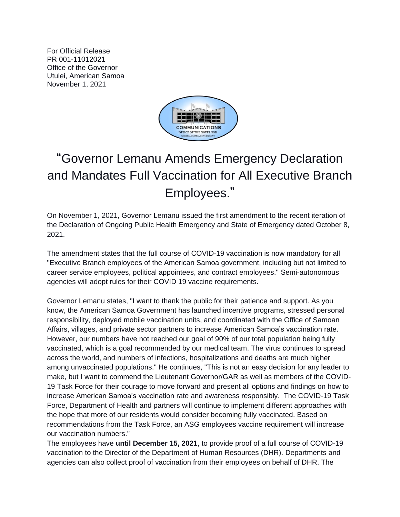For Official Release PR 001-11012021 Office of the Governor Utulei, American Samoa November 1, 2021



## "Governor Lemanu Amends Emergency Declaration and Mandates Full Vaccination for All Executive Branch Employees."

On November 1, 2021, Governor Lemanu issued the first amendment to the recent iteration of the Declaration of Ongoing Public Health Emergency and State of Emergency dated October 8, 2021.

The amendment states that the full course of COVID-19 vaccination is now mandatory for all "Executive Branch employees of the American Samoa government, including but not limited to career service employees, political appointees, and contract employees." Semi-autonomous agencies will adopt rules for their COVID 19 vaccine requirements.

Governor Lemanu states, "I want to thank the public for their patience and support. As you know, the American Samoa Government has launched incentive programs, stressed personal responsibility, deployed mobile vaccination units, and coordinated with the Office of Samoan Affairs, villages, and private sector partners to increase American Samoa's vaccination rate. However, our numbers have not reached our goal of 90% of our total population being fully vaccinated, which is a goal recommended by our medical team. The virus continues to spread across the world, and numbers of infections, hospitalizations and deaths are much higher among unvaccinated populations." He continues, "This is not an easy decision for any leader to make, but I want to commend the Lieutenant Governor/GAR as well as members of the COVID-19 Task Force for their courage to move forward and present all options and findings on how to increase American Samoa's vaccination rate and awareness responsibly. The COVID-19 Task Force, Department of Health and partners will continue to implement different approaches with the hope that more of our residents would consider becoming fully vaccinated. Based on recommendations from the Task Force, an ASG employees vaccine requirement will increase our vaccination numbers."

The employees have **until December 15, 2021**, to provide proof of a full course of COVID-19 vaccination to the Director of the Department of Human Resources (DHR). Departments and agencies can also collect proof of vaccination from their employees on behalf of DHR. The